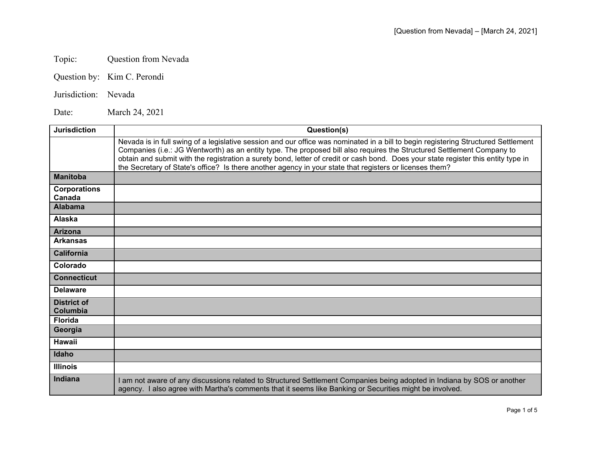## Topic: Question from Nevada

Question by: Kim C. Perondi

## Jurisdiction: Nevada

Date: March 24, 2021

| <b>Jurisdiction</b>            | Question(s)                                                                                                                                                                                                                                                                                                                                                                                                                                                                                                   |
|--------------------------------|---------------------------------------------------------------------------------------------------------------------------------------------------------------------------------------------------------------------------------------------------------------------------------------------------------------------------------------------------------------------------------------------------------------------------------------------------------------------------------------------------------------|
|                                | Nevada is in full swing of a legislative session and our office was nominated in a bill to begin registering Structured Settlement<br>Companies (i.e.: JG Wentworth) as an entity type. The proposed bill also requires the Structured Settlement Company to<br>obtain and submit with the registration a surety bond, letter of credit or cash bond. Does your state register this entity type in<br>the Secretary of State's office? Is there another agency in your state that registers or licenses them? |
| <b>Manitoba</b>                |                                                                                                                                                                                                                                                                                                                                                                                                                                                                                                               |
| <b>Corporations</b><br>Canada  |                                                                                                                                                                                                                                                                                                                                                                                                                                                                                                               |
| <b>Alabama</b>                 |                                                                                                                                                                                                                                                                                                                                                                                                                                                                                                               |
| Alaska                         |                                                                                                                                                                                                                                                                                                                                                                                                                                                                                                               |
| <b>Arizona</b>                 |                                                                                                                                                                                                                                                                                                                                                                                                                                                                                                               |
| <b>Arkansas</b>                |                                                                                                                                                                                                                                                                                                                                                                                                                                                                                                               |
| <b>California</b>              |                                                                                                                                                                                                                                                                                                                                                                                                                                                                                                               |
| Colorado                       |                                                                                                                                                                                                                                                                                                                                                                                                                                                                                                               |
| <b>Connecticut</b>             |                                                                                                                                                                                                                                                                                                                                                                                                                                                                                                               |
| <b>Delaware</b>                |                                                                                                                                                                                                                                                                                                                                                                                                                                                                                                               |
| <b>District of</b><br>Columbia |                                                                                                                                                                                                                                                                                                                                                                                                                                                                                                               |
| <b>Florida</b>                 |                                                                                                                                                                                                                                                                                                                                                                                                                                                                                                               |
| Georgia                        |                                                                                                                                                                                                                                                                                                                                                                                                                                                                                                               |
| <b>Hawaii</b>                  |                                                                                                                                                                                                                                                                                                                                                                                                                                                                                                               |
| Idaho                          |                                                                                                                                                                                                                                                                                                                                                                                                                                                                                                               |
| <b>Illinois</b>                |                                                                                                                                                                                                                                                                                                                                                                                                                                                                                                               |
| <b>Indiana</b>                 | I am not aware of any discussions related to Structured Settlement Companies being adopted in Indiana by SOS or another<br>agency. I also agree with Martha's comments that it seems like Banking or Securities might be involved.                                                                                                                                                                                                                                                                            |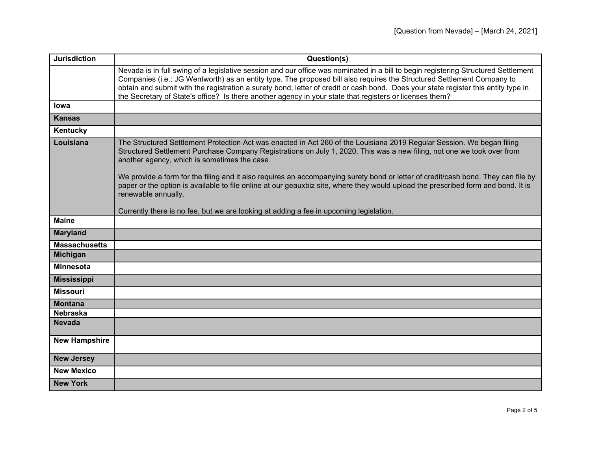| <b>Jurisdiction</b>  | Question(s)                                                                                                                                                                                                                                                                                                                                                                                                                                                                                                   |
|----------------------|---------------------------------------------------------------------------------------------------------------------------------------------------------------------------------------------------------------------------------------------------------------------------------------------------------------------------------------------------------------------------------------------------------------------------------------------------------------------------------------------------------------|
|                      | Nevada is in full swing of a legislative session and our office was nominated in a bill to begin registering Structured Settlement<br>Companies (i.e.: JG Wentworth) as an entity type. The proposed bill also requires the Structured Settlement Company to<br>obtain and submit with the registration a surety bond, letter of credit or cash bond. Does your state register this entity type in<br>the Secretary of State's office? Is there another agency in your state that registers or licenses them? |
| lowa                 |                                                                                                                                                                                                                                                                                                                                                                                                                                                                                                               |
| <b>Kansas</b>        |                                                                                                                                                                                                                                                                                                                                                                                                                                                                                                               |
| Kentucky             |                                                                                                                                                                                                                                                                                                                                                                                                                                                                                                               |
| Louisiana            | The Structured Settlement Protection Act was enacted in Act 260 of the Louisiana 2019 Regular Session. We began filing<br>Structured Settlement Purchase Company Registrations on July 1, 2020. This was a new filing, not one we took over from<br>another agency, which is sometimes the case.<br>We provide a form for the filing and it also requires an accompanying surety bond or letter of credit/cash bond. They can file by                                                                         |
|                      | paper or the option is available to file online at our geauxbiz site, where they would upload the prescribed form and bond. It is<br>renewable annually.<br>Currently there is no fee, but we are looking at adding a fee in upcoming legislation.                                                                                                                                                                                                                                                            |
| <b>Maine</b>         |                                                                                                                                                                                                                                                                                                                                                                                                                                                                                                               |
| <b>Maryland</b>      |                                                                                                                                                                                                                                                                                                                                                                                                                                                                                                               |
| <b>Massachusetts</b> |                                                                                                                                                                                                                                                                                                                                                                                                                                                                                                               |
| Michigan             |                                                                                                                                                                                                                                                                                                                                                                                                                                                                                                               |
| <b>Minnesota</b>     |                                                                                                                                                                                                                                                                                                                                                                                                                                                                                                               |
| <b>Mississippi</b>   |                                                                                                                                                                                                                                                                                                                                                                                                                                                                                                               |
| <b>Missouri</b>      |                                                                                                                                                                                                                                                                                                                                                                                                                                                                                                               |
| <b>Montana</b>       |                                                                                                                                                                                                                                                                                                                                                                                                                                                                                                               |
| <b>Nebraska</b>      |                                                                                                                                                                                                                                                                                                                                                                                                                                                                                                               |
| <b>Nevada</b>        |                                                                                                                                                                                                                                                                                                                                                                                                                                                                                                               |
| <b>New Hampshire</b> |                                                                                                                                                                                                                                                                                                                                                                                                                                                                                                               |
| <b>New Jersey</b>    |                                                                                                                                                                                                                                                                                                                                                                                                                                                                                                               |
| <b>New Mexico</b>    |                                                                                                                                                                                                                                                                                                                                                                                                                                                                                                               |
| <b>New York</b>      |                                                                                                                                                                                                                                                                                                                                                                                                                                                                                                               |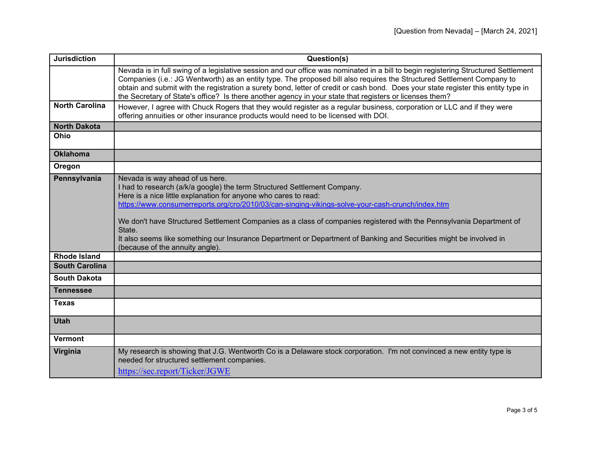| <b>Jurisdiction</b>   | Question(s)                                                                                                                                                                                                                                                                                                                                                                                                                                                                                                                                                                   |
|-----------------------|-------------------------------------------------------------------------------------------------------------------------------------------------------------------------------------------------------------------------------------------------------------------------------------------------------------------------------------------------------------------------------------------------------------------------------------------------------------------------------------------------------------------------------------------------------------------------------|
|                       | Nevada is in full swing of a legislative session and our office was nominated in a bill to begin registering Structured Settlement<br>Companies (i.e.: JG Wentworth) as an entity type. The proposed bill also requires the Structured Settlement Company to<br>obtain and submit with the registration a surety bond, letter of credit or cash bond. Does your state register this entity type in<br>the Secretary of State's office? Is there another agency in your state that registers or licenses them?                                                                 |
| <b>North Carolina</b> | However, I agree with Chuck Rogers that they would register as a regular business, corporation or LLC and if they were<br>offering annuities or other insurance products would need to be licensed with DOI.                                                                                                                                                                                                                                                                                                                                                                  |
| <b>North Dakota</b>   |                                                                                                                                                                                                                                                                                                                                                                                                                                                                                                                                                                               |
| Ohio                  |                                                                                                                                                                                                                                                                                                                                                                                                                                                                                                                                                                               |
| <b>Oklahoma</b>       |                                                                                                                                                                                                                                                                                                                                                                                                                                                                                                                                                                               |
| Oregon                |                                                                                                                                                                                                                                                                                                                                                                                                                                                                                                                                                                               |
| Pennsylvania          | Nevada is way ahead of us here.<br>I had to research (a/k/a google) the term Structured Settlement Company.<br>Here is a nice little explanation for anyone who cares to read:<br>https://www.consumerreports.org/cro/2010/03/can-singing-vikings-solve-your-cash-crunch/index.htm<br>We don't have Structured Settlement Companies as a class of companies registered with the Pennsylvania Department of<br>State.<br>It also seems like something our Insurance Department or Department of Banking and Securities might be involved in<br>(because of the annuity angle). |
| <b>Rhode Island</b>   |                                                                                                                                                                                                                                                                                                                                                                                                                                                                                                                                                                               |
| <b>South Carolina</b> |                                                                                                                                                                                                                                                                                                                                                                                                                                                                                                                                                                               |
| <b>South Dakota</b>   |                                                                                                                                                                                                                                                                                                                                                                                                                                                                                                                                                                               |
| <b>Tennessee</b>      |                                                                                                                                                                                                                                                                                                                                                                                                                                                                                                                                                                               |
| <b>Texas</b>          |                                                                                                                                                                                                                                                                                                                                                                                                                                                                                                                                                                               |
| <b>Utah</b>           |                                                                                                                                                                                                                                                                                                                                                                                                                                                                                                                                                                               |
| <b>Vermont</b>        |                                                                                                                                                                                                                                                                                                                                                                                                                                                                                                                                                                               |
| Virginia              | My research is showing that J.G. Wentworth Co is a Delaware stock corporation. I'm not convinced a new entity type is<br>needed for structured settlement companies.<br>https://sec.report/Ticker/JGWE                                                                                                                                                                                                                                                                                                                                                                        |